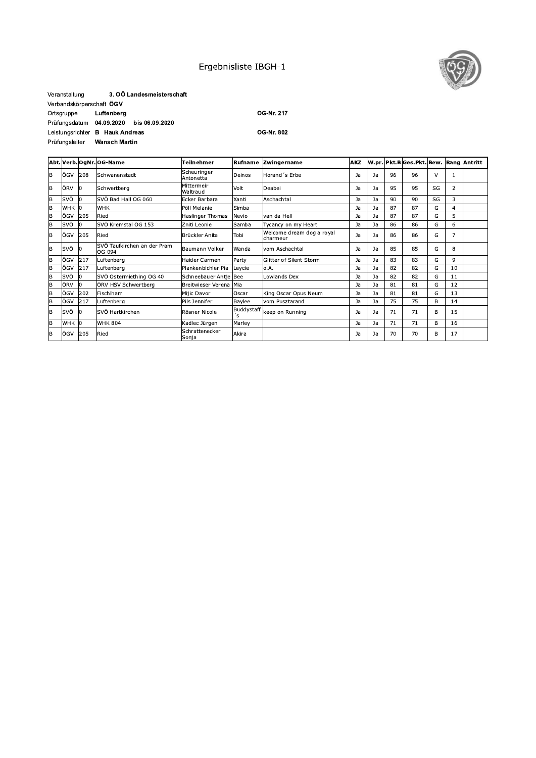## Ergebnisliste IBGH-1



### 3. OÖ Landesmeisterschaft Veranstaltung Verbandskörperschaft ÖGV Ortsgruppe Luftenberg Prüfungsdatum 04.09.2020 bis 06.09.2020 Leistungsrichter B Hauk Andreas Prüfungsleiter Wansch Martin

OG-Nr. 217

**OG-Nr. 802** 

|          |       |     | Abt. Verb. OgNr. OG-Name              | Teilnehmer               | Rufname           | Zwingername                           | <b>AKZ</b> |    |    | W.pr. Pkt.B Ges.Pkt. Bew. Rang Antritt |        |    |  |
|----------|-------|-----|---------------------------------------|--------------------------|-------------------|---------------------------------------|------------|----|----|----------------------------------------|--------|----|--|
| B        | ÖGV   | 208 | Schwanenstadt                         | Scheuringer<br>Antonetta | Deinos            | Horand 's Erbe                        | Ja         | Ja | 96 | 96                                     | $\vee$ |    |  |
| B        | ÖRV   | IО  | Schwertberg                           | Mittermeir<br>Waltraud   | Volt              | Deabei                                | Ja         | Ja | 95 | 95                                     | SG     | 2  |  |
| lB.      | svö   | l0  | SVÖ Bad Hall OG 060                   | Ecker Barbara            | Xanti             | Aschachtal                            | Ja         | Ja | 90 | 90                                     | SG     | 3  |  |
| İΒ       | WHK 0 |     | <b>WHK</b>                            | Pöll Melanie             | Simba             |                                       | Ja         | Ja | 87 | 87                                     | G      | 4  |  |
| B        | ÖGV   | 205 | Ried                                  | Haslinger Thomas         | Nevio             | van da Hell                           | Ja         | Ja | 87 | 87                                     | G      | 5  |  |
| <b>B</b> | svö   | 10  | SVÖ Kremstal OG 153                   | Zniti Leonie             | Samba             | Tycancy on my Heart                   | Ja         | Ja | 86 | 86                                     | G      | 6  |  |
| lв       | ÖGV   | 205 | Ried                                  | Brückler Anita           | Tobi              | Welcome dream dog a royal<br>charmeur | Ja         | Ja | 86 | 86                                     | G      | 7  |  |
| B        | svö   | lo  | SVÖ Taufkirchen an der Pram<br>OG 094 | Baumann Volker           | Wanda             | vom Aschachtal                        | Ja         | Ja | 85 | 85                                     | G      | 8  |  |
| B        | ÖGV   | 217 | uftenberg.                            | Haider Carmen            | Party             | Glitter of Silent Storm               | Ja         | Ja | 83 | 83                                     | G      | 9  |  |
| B        | ÖGV   | 217 | uftenberg.                            | Plankenbichler Pia       | Leycie            | o.A.                                  | Ja         | Ja | 82 | 82                                     | G      | 10 |  |
| B        | SVÖ   | lo  | SVÖ Ostermiething OG 40               | Schneebauer Antie Bee    |                   | Lowlands Dex                          | Ja         | Ja | 82 | 82                                     | G      | 11 |  |
| lв       | ÖRV   | l0  | ÖRV HSV Schwertberg                   | Breitwieser Verena Mia   |                   |                                       | Ja         | Ja | 81 | 81                                     | G      | 12 |  |
| B        | ÖGV   | 202 | Fischlham                             | Mijic Davor              | Oscar             | King Oscar Opus Neum                  | Ja         | Ja | 81 | 81                                     | G      | 13 |  |
| B        | ÖGV   | 217 | uftenberg.                            | Pils Jennifer            | Baylee            | vom Pusztarand                        | Ja         | Ja | 75 | 75                                     | в      | 14 |  |
| lΒ       | svö   | ю   | SVÖ Hartkirchen                       | Rösner Nicole            | Buddystaff<br>ʻs. | keep on Running                       | Ja         | Ja | 71 | 71                                     | B      | 15 |  |
| lΒ       | WHK 0 |     | <b>WHK 804</b>                        | Kadlec Jürgen            | Marley            |                                       | Ja         | Ja | 71 | 71                                     | B      | 16 |  |
| B        | ÖGV   | 205 | Ried                                  | Schrattenecker<br>Sonja  | Akira             |                                       | Ja         | Ja | 70 | 70                                     | B      | 17 |  |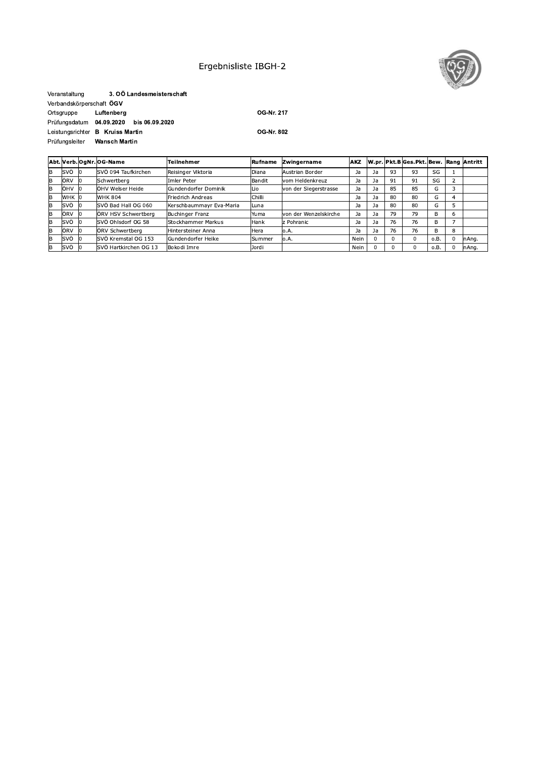# Ergebnisliste IBGH-2



#### Veranstaltung 3. OÖ Landesmeisterschaft Verbandskörperschaft ÖGV Ortsgruppe Luftenberg Prüfungsdatum 04.09.2020 bis 06.09.2020 Leistungsrichter B Kruiss Martin Prüfungsleiter Wansch Martin

OG-Nr. 217

OG-Nr. 802

|   |         |      | Abt. Verb. OgNr. OG-Name | Teilnehmer                | Rufname       | Zwingername           | <b>AKZ</b> |    |    | W.pr. Pkt.B Ges.Pkt. Bew. Rang Antritt |      |          |        |
|---|---------|------|--------------------------|---------------------------|---------------|-----------------------|------------|----|----|----------------------------------------|------|----------|--------|
| B | SVÖ     |      | SVÖ 094 Taufkirchen      | Reisinger Viktoria        | Diana         | Austrian Border       | Ja         | Ja | 93 | 93                                     | SG   |          |        |
| B | ÖRV     | - IC | Schwertberg              | Imler Peter               | Bandit        | vom Heldenkreuz       | Ja         | Ja | 91 | 91                                     | SG   |          |        |
| B | ÖHV 0   |      | ÖHV Welser Heide         | Gundendorfer Dominik      | Lio           | von der Siegerstrasse | Ja         | Ja | 85 | 85                                     | G    |          |        |
| B | IWHK 10 |      | <b>WHK 804</b>           | Friedrich Andreas         | Chilli        |                       | Ja         | Ja | 80 | 80                                     | G    |          |        |
| в | svö     |      | SVÖ Bad Hall OG 060      | Kerschbaummayr Eva-Maria  | Luna          |                       | Ja         | Ja | 80 | 80                                     | G    |          |        |
| B | ÖRV     |      | ÖRV HSV Schwertberg      | <b>Buchinger Franz</b>    | Yuma          | von der Wenzelskirche | Ja         | Ja | 79 | 79                                     | B    | b        |        |
| B | SVÖ     |      | SVÖ Ohlsdorf OG 58       | <b>Stockhammer Markus</b> | Hank          | z Pohranic            | Ja         | Ja | 76 | 76                                     | B    |          |        |
| B | ÖRV     |      | ÖRV Schwertberg          | Hintersteiner Anna        | Hera          | o.A.                  | Ja         | Ja | 76 | 76                                     | B    | 8        |        |
| B | SVÖ     |      | SVÖ Kremstal OG 153      | Gundendorfer Heike        | <b>Summer</b> | lo.A.                 | Nein       |    |    | $\Omega$                               | o.B. | $\Omega$ | InAng. |
| в | lsvö    |      | SVÖ Hartkirchen OG 13    | Bokodi Imre               | Jordi         |                       | Nein       |    |    | 0                                      | o.B. | 0        | nAng.  |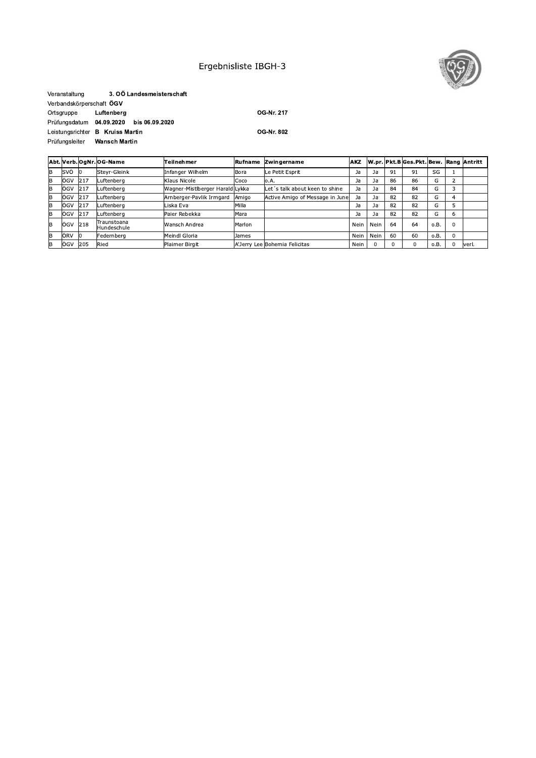# Ergebnisliste IBGH-3



#### Veranstaltung 3. OÖ Landesmeisterschaft Verbandskörperschaft ÖGV Ortsgruppe Luftenberg Prüfungsdatum 04.09.2020 bis 06.09.2020 Leistungsrichter B Kruiss Martin Prüfungsleiter Wansch Martin

OG-Nr. 217

OG-Nr. 802

|    |         |      | Abt. Verb. OgNr. OG-Name   | Teilnehmer                      | Rufname | <b>Zwingername</b>              | <b>AKZ</b> |      |    | W.pr. Pkt.B Ges.Pkt. Bew. Rang Antritt |      |          |        |
|----|---------|------|----------------------------|---------------------------------|---------|---------------------------------|------------|------|----|----------------------------------------|------|----------|--------|
| lв | SVÖ     | - 10 | Steyr-Gleink               | Infanger Wilhelm                | Bora    | Le Petit Esprit                 | Ja         | Ja   | 91 | 91                                     | SG   |          |        |
| lB | ÖGV     | 217  | Luftenberg                 | Klaus Nicole                    | Coco    | lo.A.                           | Ja         | Ja   | 86 | 86                                     | G    |          |        |
| IB | lÖGV    | 217  | Luftenbera                 | Wagner-Mistlberger Harald Lykka |         | Let's talk about keen to shine  | Ja         | Ja   | 84 | 84                                     | G    |          |        |
| lΒ | ÖGV     | 217  | Luftenberg                 | Arnberger-Pavlik Irmgard        | Amigo   | Active Amigo of Message in June | Ja         | Ja   | 82 | 82                                     | G    |          |        |
| lB | ÖGV     | 217  | Luftenberg                 | Liska Eva                       | Milla   |                                 | Ja         | Ja   | 82 | 82                                     | G    |          |        |
| lΒ | ÖGV     | 217  | Luftenberg                 | Paier Rebekka                   | Mara    |                                 | Ja         | Ja   | 82 | 82                                     | G    | b        |        |
| IB | ÖGV 218 |      | Traunstoana<br>Hundeschule | Wansch Andrea                   | Marlon  |                                 | Nein       | Nein | 64 | 64                                     | o.B. | $\Omega$ |        |
| lв | ÖRV     |      | Federnberg                 | Meindl Gloria                   | James   |                                 | Nein       | Nein | 60 | 60                                     | o.B. | 0        |        |
| lB | lögv    | 205  | Ried                       | Plaimer Birgit                  |         | A'Jerry Lee Bohemia Felicitas   | Nein       |      |    | $\Omega$                               | 0.B. | $\Omega$ | lveri. |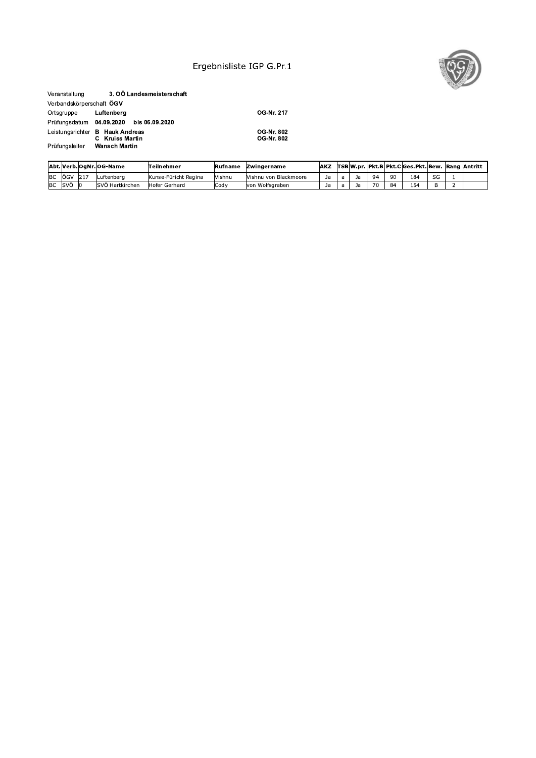## Ergebnisliste IGP G.Pr.1



### Veranstaltung 3. OÖ Landesmeisterschaft Verbandskörperschaft ÖGV Luftenberg Ortsgruppe Prüfungsdatum 04.09.2020 bis 06.09.2020 Leistungsrichter **B Hauk Andreas**<br>**C Kruiss Martin**<br>Prüfungsleiter **Wansch Martin**

Prüfungsleiter

OG-Nr. 217

OG-Nr. 802<br>OG-Nr. 802

|           |              |      | lAbt. Verb. OgNr. OG-Name | Teilnehmer           | <b>IRufname</b> | <b>IZwingername</b>   | <b>AKZ</b> |  |                   |     | TSB W.pr. Pkt.B Pkt.C Ges.Pkt. Bew.  Rang  Antritt |    |  |
|-----------|--------------|------|---------------------------|----------------------|-----------------|-----------------------|------------|--|-------------------|-----|----------------------------------------------------|----|--|
| <b>BC</b> | ÖGV          | 1217 | Luftenbera                | Kunse-Füricht Regina | Vishnu          | Vishnu von Blackmoore | Ja         |  | $Q_{\mathcal{A}}$ | -90 | 184                                                | SG |  |
| <b>BC</b> | <b>I</b> svä |      | <b>ISVÖ Hartkirchen</b>   | Hofer Gerhard        | <b>ICodv</b>    | von Wolfsgraben       | Ja.        |  | 70                | 84  | 154                                                |    |  |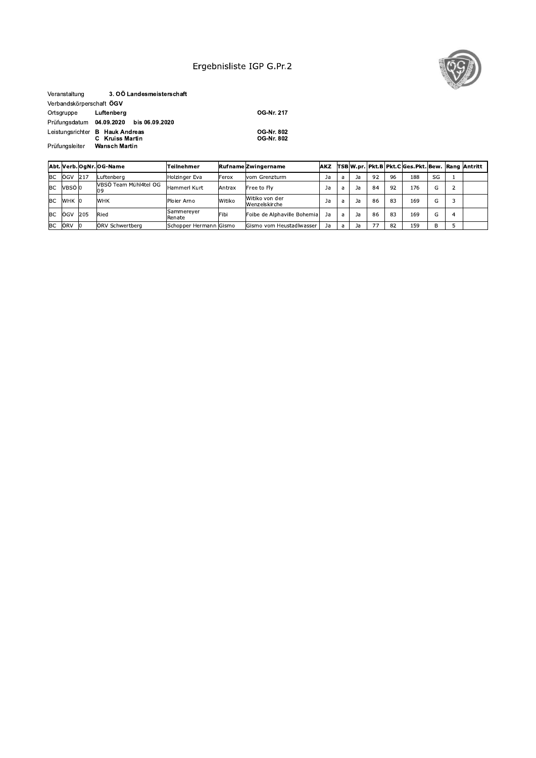## Ergebnisliste IGP G.Pr.2



#### Veranstaltung 3. OÖ Landesmeisterschaft Verbandskörperschaft ÖGV Luftenberg Ortsgruppe Prüfungsdatum 04.09.2020 bis 06.09.2020 Leistungsrichter **B Hauk Andreas**<br>**C Kruiss Martin**<br>Prüfungsleiter **Wansch Martin** Prüfungsleiter

OG-Nr. 217

OG-Nr. 802<br>OG-Nr. 802

|           |                     |            | Abt. Verb. OgNr. OG-Name | Teilnehmer             |        | <b>Rufname Zwingername</b>      | <b>IAKZ</b> |   |    |    |    | <b>TSBW.pr. Pkt.BIPkt.ClGes.Pkt. Bew. Rang Antritt</b> |    |  |
|-----------|---------------------|------------|--------------------------|------------------------|--------|---------------------------------|-------------|---|----|----|----|--------------------------------------------------------|----|--|
| <b>BC</b> | ÖGV                 | 217        | Luftenbera               | Holzinger Eva          | Ferox  | vom Grenzturm                   | Ja          | a | Ja | 92 | 96 | 188                                                    | SG |  |
| <b>BC</b> | VBSÖ <sup>l</sup> 0 |            | VBSÖ Team Mühl4tel OG    | Hammerl Kurt           | Antrax | Free to Fly                     | Ja          | a | Ja | 84 | 92 | 176                                                    | G  |  |
| <b>BC</b> | WHK 0               |            | <b>WHK</b>               | Ploier Arno            | Witiko | Witiko von der<br>Wenzelskirche | Ja          | a | Ja | 86 | 83 | 169                                                    | G  |  |
| <b>BC</b> | ÖGV                 | <b>205</b> | Ried                     | Sammereyer<br>Renate   | Fibi   | Foibe de Alphaville Bohemia     | Ja          | a | Ja | 86 | 83 | 169                                                    | G  |  |
| <b>BC</b> | ÖRV                 |            | <b>ORV</b> Schwertberg   | Schopper Hermann Gismo |        | Gismo vom Heustadlwasser        | Ja          | a | Ja | 77 | 82 | 159                                                    | B  |  |